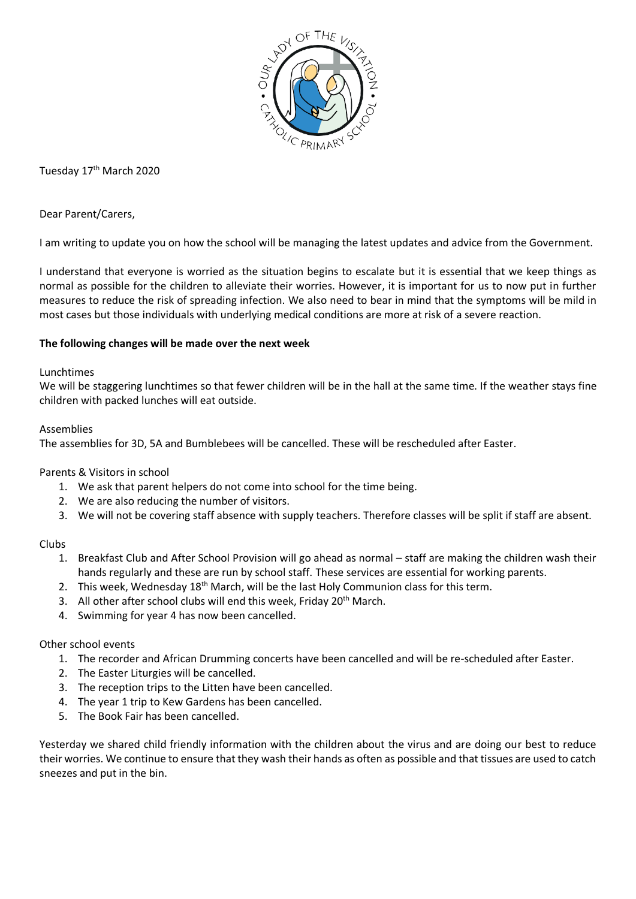

Tuesday 17<sup>th</sup> March 2020

Dear Parent/Carers,

I am writing to update you on how the school will be managing the latest updates and advice from the Government.

I understand that everyone is worried as the situation begins to escalate but it is essential that we keep things as normal as possible for the children to alleviate their worries. However, it is important for us to now put in further measures to reduce the risk of spreading infection. We also need to bear in mind that the symptoms will be mild in most cases but those individuals with underlying medical conditions are more at risk of a severe reaction.

# **The following changes will be made over the next week**

# Lunchtimes

We will be staggering lunchtimes so that fewer children will be in the hall at the same time. If the weather stays fine children with packed lunches will eat outside.

### Assemblies

The assemblies for 3D, 5A and Bumblebees will be cancelled. These will be rescheduled after Easter.

Parents & Visitors in school

- 1. We ask that parent helpers do not come into school for the time being.
- 2. We are also reducing the number of visitors.
- 3. We will not be covering staff absence with supply teachers. Therefore classes will be split if staff are absent.

# Clubs

- 1. Breakfast Club and After School Provision will go ahead as normal staff are making the children wash their hands regularly and these are run by school staff. These services are essential for working parents.
- 2. This week, Wednesday 18<sup>th</sup> March, will be the last Holy Communion class for this term.
- 3. All other after school clubs will end this week, Friday 20<sup>th</sup> March.
- 4. Swimming for year 4 has now been cancelled.

# Other school events

- 1. The recorder and African Drumming concerts have been cancelled and will be re-scheduled after Easter.
- 2. The Easter Liturgies will be cancelled.
- 3. The reception trips to the Litten have been cancelled.
- 4. The year 1 trip to Kew Gardens has been cancelled.
- 5. The Book Fair has been cancelled.

Yesterday we shared child friendly information with the children about the virus and are doing our best to reduce their worries. We continue to ensure that they wash their hands as often as possible and that tissues are used to catch sneezes and put in the bin.